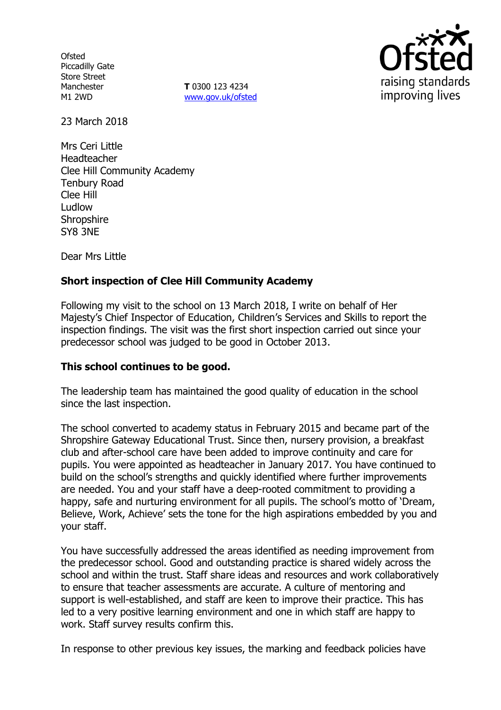**Ofsted** Piccadilly Gate Store Street Manchester M1 2WD

**T** 0300 123 4234 www.gov.uk/ofsted



23 March 2018

Mrs Ceri Little Headteacher Clee Hill Community Academy Tenbury Road Clee Hill Ludlow **Shropshire** SY8 3NE

Dear Mrs Little

# **Short inspection of Clee Hill Community Academy**

Following my visit to the school on 13 March 2018, I write on behalf of Her Majesty's Chief Inspector of Education, Children's Services and Skills to report the inspection findings. The visit was the first short inspection carried out since your predecessor school was judged to be good in October 2013.

## **This school continues to be good.**

The leadership team has maintained the good quality of education in the school since the last inspection.

The school converted to academy status in February 2015 and became part of the Shropshire Gateway Educational Trust. Since then, nursery provision, a breakfast club and after-school care have been added to improve continuity and care for pupils. You were appointed as headteacher in January 2017. You have continued to build on the school's strengths and quickly identified where further improvements are needed. You and your staff have a deep-rooted commitment to providing a happy, safe and nurturing environment for all pupils. The school's motto of 'Dream, Believe, Work, Achieve' sets the tone for the high aspirations embedded by you and your staff.

You have successfully addressed the areas identified as needing improvement from the predecessor school. Good and outstanding practice is shared widely across the school and within the trust. Staff share ideas and resources and work collaboratively to ensure that teacher assessments are accurate. A culture of mentoring and support is well-established, and staff are keen to improve their practice. This has led to a very positive learning environment and one in which staff are happy to work. Staff survey results confirm this.

In response to other previous key issues, the marking and feedback policies have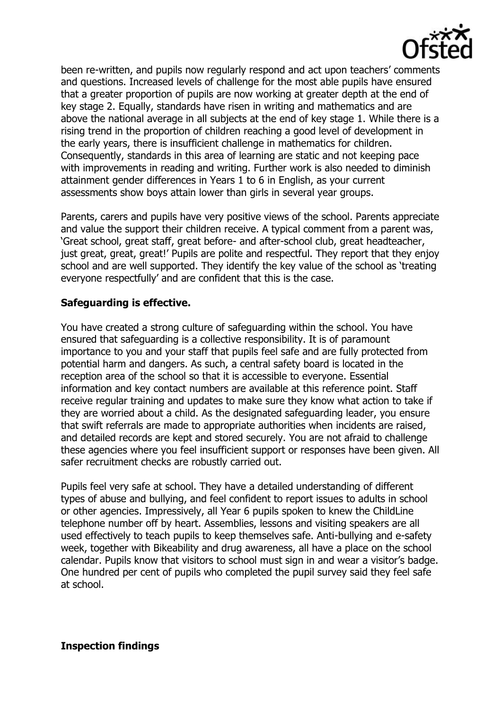

been re-written, and pupils now regularly respond and act upon teachers' comments and questions. Increased levels of challenge for the most able pupils have ensured that a greater proportion of pupils are now working at greater depth at the end of key stage 2. Equally, standards have risen in writing and mathematics and are above the national average in all subjects at the end of key stage 1. While there is a rising trend in the proportion of children reaching a good level of development in the early years, there is insufficient challenge in mathematics for children. Consequently, standards in this area of learning are static and not keeping pace with improvements in reading and writing. Further work is also needed to diminish attainment gender differences in Years 1 to 6 in English, as your current assessments show boys attain lower than girls in several year groups.

Parents, carers and pupils have very positive views of the school. Parents appreciate and value the support their children receive. A typical comment from a parent was, 'Great school, great staff, great before- and after-school club, great headteacher, just great, great, great!' Pupils are polite and respectful. They report that they enjoy school and are well supported. They identify the key value of the school as 'treating everyone respectfully' and are confident that this is the case.

## **Safeguarding is effective.**

You have created a strong culture of safeguarding within the school. You have ensured that safeguarding is a collective responsibility. It is of paramount importance to you and your staff that pupils feel safe and are fully protected from potential harm and dangers. As such, a central safety board is located in the reception area of the school so that it is accessible to everyone. Essential information and key contact numbers are available at this reference point. Staff receive regular training and updates to make sure they know what action to take if they are worried about a child. As the designated safeguarding leader, you ensure that swift referrals are made to appropriate authorities when incidents are raised, and detailed records are kept and stored securely. You are not afraid to challenge these agencies where you feel insufficient support or responses have been given. All safer recruitment checks are robustly carried out.

Pupils feel very safe at school. They have a detailed understanding of different types of abuse and bullying, and feel confident to report issues to adults in school or other agencies. Impressively, all Year 6 pupils spoken to knew the ChildLine telephone number off by heart. Assemblies, lessons and visiting speakers are all used effectively to teach pupils to keep themselves safe. Anti-bullying and e-safety week, together with Bikeability and drug awareness, all have a place on the school calendar. Pupils know that visitors to school must sign in and wear a visitor's badge. One hundred per cent of pupils who completed the pupil survey said they feel safe at school.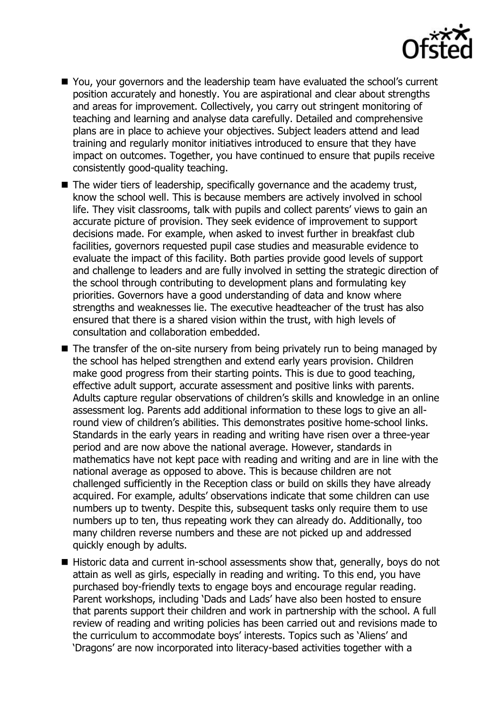

- You, your governors and the leadership team have evaluated the school's current position accurately and honestly. You are aspirational and clear about strengths and areas for improvement. Collectively, you carry out stringent monitoring of teaching and learning and analyse data carefully. Detailed and comprehensive plans are in place to achieve your objectives. Subject leaders attend and lead training and regularly monitor initiatives introduced to ensure that they have impact on outcomes. Together, you have continued to ensure that pupils receive consistently good-quality teaching.
- The wider tiers of leadership, specifically governance and the academy trust, know the school well. This is because members are actively involved in school life. They visit classrooms, talk with pupils and collect parents' views to gain an accurate picture of provision. They seek evidence of improvement to support decisions made. For example, when asked to invest further in breakfast club facilities, governors requested pupil case studies and measurable evidence to evaluate the impact of this facility. Both parties provide good levels of support and challenge to leaders and are fully involved in setting the strategic direction of the school through contributing to development plans and formulating key priorities. Governors have a good understanding of data and know where strengths and weaknesses lie. The executive headteacher of the trust has also ensured that there is a shared vision within the trust, with high levels of consultation and collaboration embedded.
- $\blacksquare$  The transfer of the on-site nursery from being privately run to being managed by the school has helped strengthen and extend early years provision. Children make good progress from their starting points. This is due to good teaching, effective adult support, accurate assessment and positive links with parents. Adults capture regular observations of children's skills and knowledge in an online assessment log. Parents add additional information to these logs to give an allround view of children's abilities. This demonstrates positive home-school links. Standards in the early years in reading and writing have risen over a three-year period and are now above the national average. However, standards in mathematics have not kept pace with reading and writing and are in line with the national average as opposed to above. This is because children are not challenged sufficiently in the Reception class or build on skills they have already acquired. For example, adults' observations indicate that some children can use numbers up to twenty. Despite this, subsequent tasks only require them to use numbers up to ten, thus repeating work they can already do. Additionally, too many children reverse numbers and these are not picked up and addressed quickly enough by adults.
- Historic data and current in-school assessments show that, generally, boys do not attain as well as girls, especially in reading and writing. To this end, you have purchased boy-friendly texts to engage boys and encourage regular reading. Parent workshops, including 'Dads and Lads' have also been hosted to ensure that parents support their children and work in partnership with the school. A full review of reading and writing policies has been carried out and revisions made to the curriculum to accommodate boys' interests. Topics such as 'Aliens' and 'Dragons' are now incorporated into literacy-based activities together with a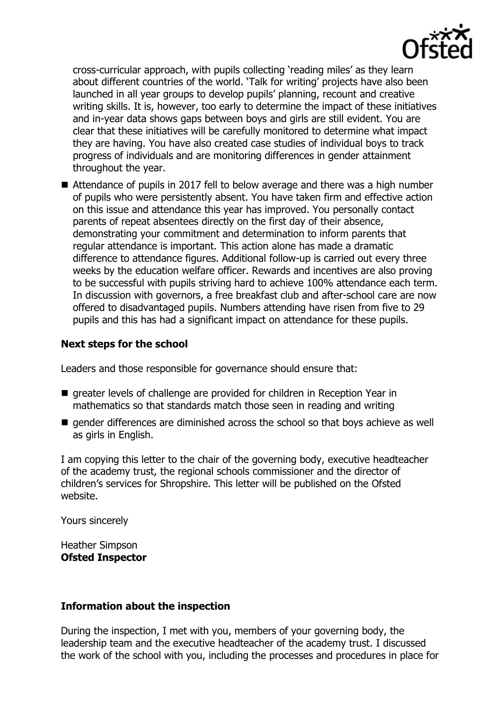

cross-curricular approach, with pupils collecting 'reading miles' as they learn about different countries of the world. 'Talk for writing' projects have also been launched in all year groups to develop pupils' planning, recount and creative writing skills. It is, however, too early to determine the impact of these initiatives and in-year data shows gaps between boys and girls are still evident. You are clear that these initiatives will be carefully monitored to determine what impact they are having. You have also created case studies of individual boys to track progress of individuals and are monitoring differences in gender attainment throughout the year.

■ Attendance of pupils in 2017 fell to below average and there was a high number of pupils who were persistently absent. You have taken firm and effective action on this issue and attendance this year has improved. You personally contact parents of repeat absentees directly on the first day of their absence, demonstrating your commitment and determination to inform parents that regular attendance is important. This action alone has made a dramatic difference to attendance figures. Additional follow-up is carried out every three weeks by the education welfare officer. Rewards and incentives are also proving to be successful with pupils striving hard to achieve 100% attendance each term. In discussion with governors, a free breakfast club and after-school care are now offered to disadvantaged pupils. Numbers attending have risen from five to 29 pupils and this has had a significant impact on attendance for these pupils.

## **Next steps for the school**

Leaders and those responsible for governance should ensure that:

- **E** greater levels of challenge are provided for children in Reception Year in mathematics so that standards match those seen in reading and writing
- **E** gender differences are diminished across the school so that boys achieve as well as girls in English.

I am copying this letter to the chair of the governing body, executive headteacher of the academy trust, the regional schools commissioner and the director of children's services for Shropshire. This letter will be published on the Ofsted website.

Yours sincerely

Heather Simpson **Ofsted Inspector**

#### **Information about the inspection**

During the inspection, I met with you, members of your governing body, the leadership team and the executive headteacher of the academy trust. I discussed the work of the school with you, including the processes and procedures in place for